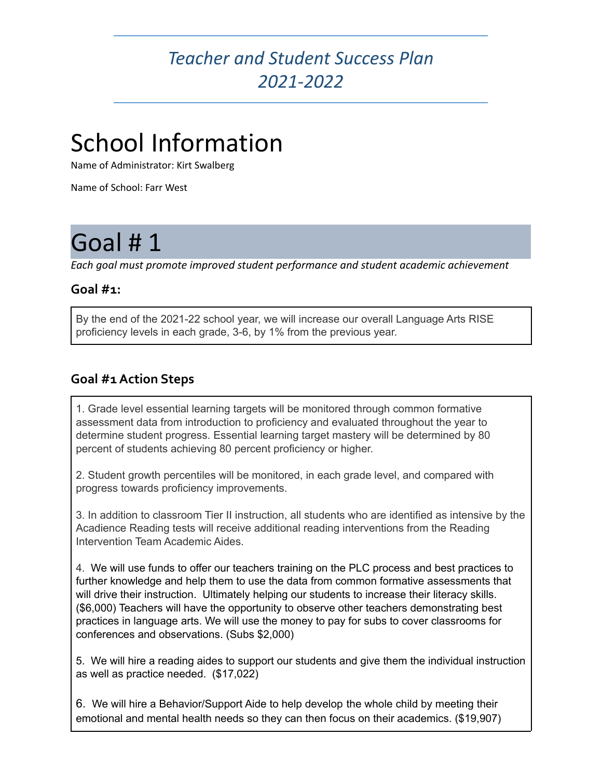### *Teacher and Student Success Plan 2021-2022*

## School Information

Name of Administrator: Kirt Swalberg

Name of School: Farr West

## Goal #1

*Each goal must promote improved student performance and student academic achievement*

#### **Goal #1:**

By the end of the 2021-22 school year, we will increase our overall Language Arts RISE proficiency levels in each grade, 3-6, by 1% from the previous year.

### **Goal #1Action Steps**

1. Grade level essential learning targets will be monitored through common formative assessment data from introduction to proficiency and evaluated throughout the year to determine student progress. Essential learning target mastery will be determined by 80 percent of students achieving 80 percent proficiency or higher.

2. Student growth percentiles will be monitored, in each grade level, and compared with progress towards proficiency improvements.

3. In addition to classroom Tier II instruction, all students who are identified as intensive by the Acadience Reading tests will receive additional reading interventions from the Reading Intervention Team Academic Aides.

4. We will use funds to offer our teachers training on the PLC process and best practices to further knowledge and help them to use the data from common formative assessments that will drive their instruction. Ultimately helping our students to increase their literacy skills. (\$6,000) Teachers will have the opportunity to observe other teachers demonstrating best practices in language arts. We will use the money to pay for subs to cover classrooms for conferences and observations. (Subs \$2,000)

5. We will hire a reading aides to support our students and give them the individual instruction as well as practice needed. (\$17,022)

6. We will hire a Behavior/Support Aide to help develop the whole child by meeting their emotional and mental health needs so they can then focus on their academics. (\$19,907)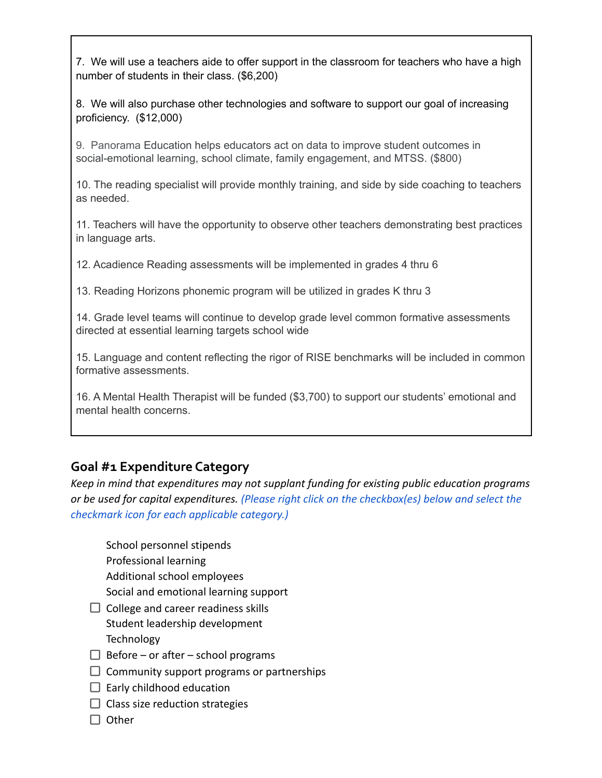7. We will use a teachers aide to offer support in the classroom for teachers who have a high number of students in their class. (\$6,200)

8. We will also purchase other technologies and software to support our goal of increasing proficiency. (\$12,000)

9. Panorama Education helps educators act on data to improve student outcomes in social-emotional learning, school climate, family engagement, and MTSS. (\$800)

10. The reading specialist will provide monthly training, and side by side coaching to teachers as needed.

11. Teachers will have the opportunity to observe other teachers demonstrating best practices in language arts.

12. Acadience Reading assessments will be implemented in grades 4 thru 6

13. Reading Horizons phonemic program will be utilized in grades K thru 3

14. Grade level teams will continue to develop grade level common formative assessments directed at essential learning targets school wide

15. Language and content reflecting the rigor of RISE benchmarks will be included in common formative assessments.

16. A Mental Health Therapist will be funded (\$3,700) to support our students' emotional and mental health concerns.

#### **Goal #1 Expenditure Category**

*Keep in mind that expenditures may not supplant funding for existing public education programs or be used for capital expenditures. (Please right click on the checkbox(es) below and select the checkmark icon for each applicable category.)*

School personnel stipends Professional learning Additional school employees Social and emotional learning support

- $\Box$  College and career readiness skills Student leadership development **Technology**
- $\Box$  Before or after school programs
- $\Box$  Community support programs or partnerships
- $\Box$  Early childhood education
- $\Box$  Class size reduction strategies
- $\Box$  Other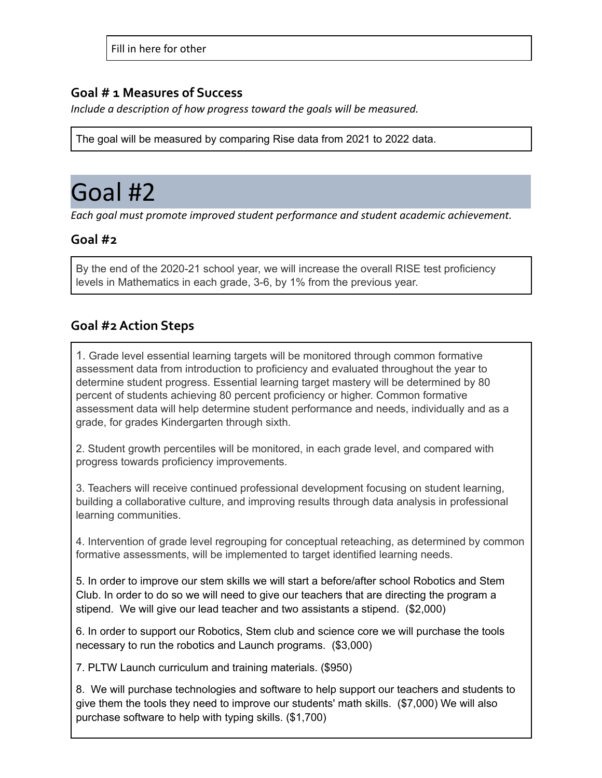#### **Goal # 1 Measures of Success**

*Include a description of how progress toward the goals will be measured.*

The goal will be measured by comparing Rise data from 2021 to 2022 data.

### Goal #2

*Each goal must promote improved student performance and student academic achievement.*

### **Goal #2**

By the end of the 2020-21 school year, we will increase the overall RISE test proficiency levels in Mathematics in each grade, 3-6, by 1% from the previous year.

### **Goal #2Action Steps**

1. Grade level essential learning targets will be monitored through common formative assessment data from introduction to proficiency and evaluated throughout the year to determine student progress. Essential learning target mastery will be determined by 80 percent of students achieving 80 percent proficiency or higher. Common formative assessment data will help determine student performance and needs, individually and as a grade, for grades Kindergarten through sixth.

2. Student growth percentiles will be monitored, in each grade level, and compared with progress towards proficiency improvements.

3. Teachers will receive continued professional development focusing on student learning, building a collaborative culture, and improving results through data analysis in professional learning communities.

4. Intervention of grade level regrouping for conceptual reteaching, as determined by common formative assessments, will be implemented to target identified learning needs.

5. In order to improve our stem skills we will start a before/after school Robotics and Stem Club. In order to do so we will need to give our teachers that are directing the program a stipend. We will give our lead teacher and two assistants a stipend. (\$2,000)

6. In order to support our Robotics, Stem club and science core we will purchase the tools necessary to run the robotics and Launch programs. (\$3,000)

7. PLTW Launch curriculum and training materials. (\$950)

8. We will purchase technologies and software to help support our teachers and students to give them the tools they need to improve our students' math skills. (\$7,000) We will also purchase software to help with typing skills. (\$1,700)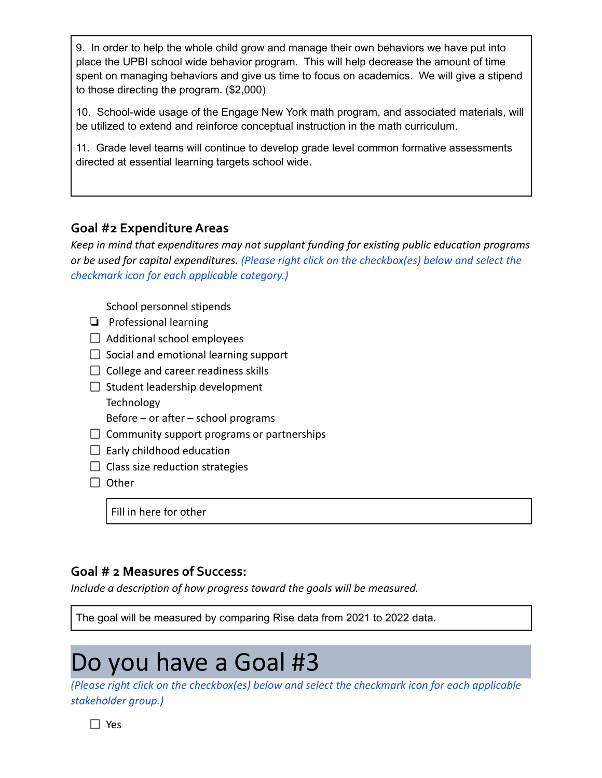9. In order to help the whole child grow and manage their own behaviors we have put into place the UPBI school wide behavior program. This will help decrease the amount of time spent on managing behaviors and give us time to focus on academics. We will give a stipend to those directing the program. (\$2,000)

10. School-wide usage of the Engage New York math program, and associated materials, will be utilized to extend and reinforce conceptual instruction in the math curriculum.

11. Grade level teams will continue to develop grade level common formative assessments directed at essential learning targets school wide.

#### **Goal #2 ExpenditureAreas**

*Keep in mind that expenditures may not supplant funding for existing public education programs or be used for capital expenditures. (Please right click on the checkbox(es) below and select the checkmark icon for each applicable category.)*

School personnel stipends

- ❏ Professional learning
- $\Box$  Additional school employees
- $\Box$  Social and emotional learning support
- $\Box$  College and career readiness skills
- $\Box$  Student leadership development **Technology** Before – or after – school programs
- $\Box$  Community support programs or partnerships
- $\Box$  Early childhood education
- $\Box$  Class size reduction strategies
- $\Box$  Other

Fill in here for other

#### **Goal # 2 Measures of Success:**

*Include a description of how progress toward the goals will be measured.*

The goal will be measured by comparing Rise data from 2021 to 2022 data.

## Do you have a Goal #3

*(Please right click on the checkbox(es) below and select the checkmark icon for each applicable stakeholder group.)*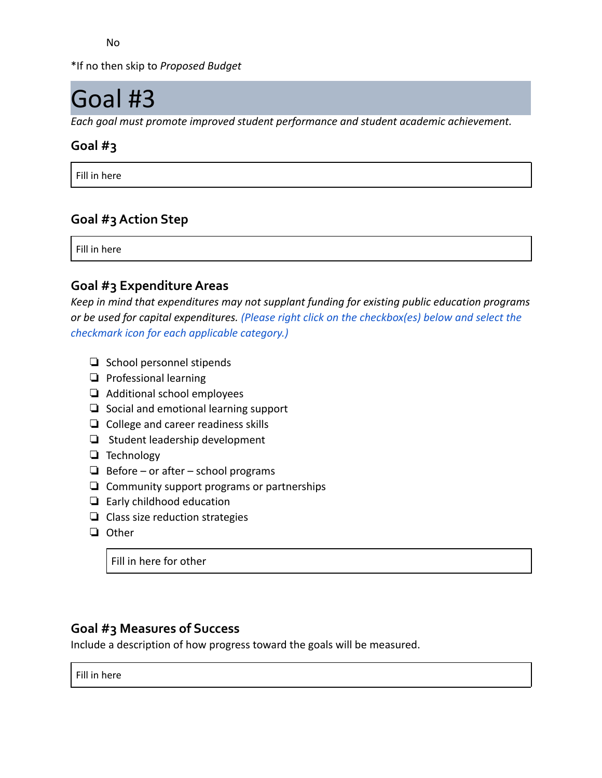No

\*If no then skip to *Proposed Budget*

## Goal #3

*Each goal must promote improved student performance and student academic achievement.*

### **Goal #3**

Fill in here

### **Goal #3Action Step**

Fill in here

#### **Goal #3 ExpenditureAreas**

*Keep in mind that expenditures may not supplant funding for existing public education programs or be used for capital expenditures. (Please right click on the checkbox(es) below and select the checkmark icon for each applicable category.)*

- ❏ School personnel stipends
- ❏ Professional learning
- ❏ Additional school employees
- ❏ Social and emotional learning support
- ❏ College and career readiness skills
- ❏ Student leadership development
- ❏ Technology
- ❏ Before or after school programs
- ❏ Community support programs or partnerships
- ❏ Early childhood education
- ❏ Class size reduction strategies
- ❏ Other

Fill in here for other

### **Goal #3 Measures of Success**

Include a description of how progress toward the goals will be measured.

Fill in here